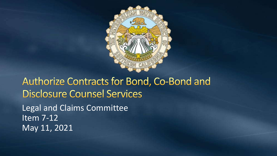

Authorize Contracts for Bond, Co-Bond and **Disclosure Counsel Services** Legal and Claims Committee Item 7-12 May 11, 2021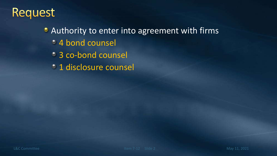#### Request

#### **• Authority to enter into agreement with firms**

- 4 bond counsel
- 3 co-bond counsel
- <sup>o</sup> 1 disclosure counsel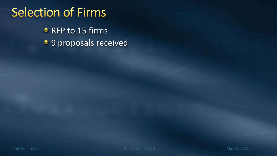## **Selection of Firms**

**C** RFP to 15 firms **9 proposals received**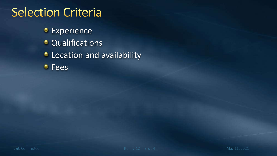#### **Selection Criteria**

**Experience C** Qualifications **C** Location and availability *C* Fees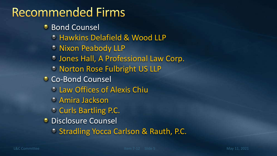## **Recommended Firms**

- **Bond Counsel** 
	- Hawkins Delafield & Wood LLP
	- <sup>o</sup> Nixon Peabody LLP
	- Jones Hall, A Professional Law Corp.
	- **& Norton Rose Fulbright US LLP**
- **Co-Bond Counsel** 
	- Law Offices of Alexis Chiu
	- Amira Jackson
	- **Curls Bartling P.C.**
- **C** Disclosure Counsel
	- **Stradling Yocca Carlson & Rauth, P.C.**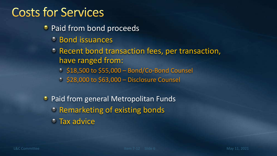### **Costs for Services**

- **Paid from bond proceeds** 
	- Bond issuances
	- **P** Recent bond transaction fees, per transaction, have ranged from:
		- $\frac{1}{2}$ \$18,500 to \$55,000 Bond/Co-Bond Counsel.
		- $\frac{6}{528,000}$  to \$63,000 Disclosure Counsel
- **Paid from general Metropolitan Funds** 
	- **PEREDE ATE: PEREDENT CONTROLLER CONTROLLER CONTROLLER CONTROLLER CONTROLLER CONTROLLER CONTROLLER CONTROLL**
	- **Tax advice**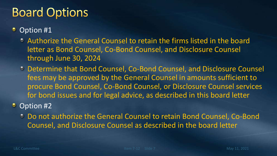## **Board Options**

- Option #1
	- Authorize the General Counsel to retain the firms listed in the board letter as Bond Counsel, Co-Bond Counsel, and Disclosure Counsel through June 30, 2024
	- Determine that Bond Counsel, Co-Bond Counsel, and Disclosure Counsel fees may be approved by the General Counsel in amounts sufficient to procure Bond Counsel, Co-Bond Counsel, or Disclosure Counsel services for bond issues and for legal advice, as described in this board letter
- Option #2
	- Do not authorize the General Counsel to retain Bond Counsel, Co-Bond Counsel, and Disclosure Counsel as described in the board letter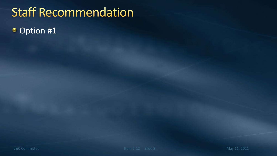# **Staff Recommendation**

Option #1۰